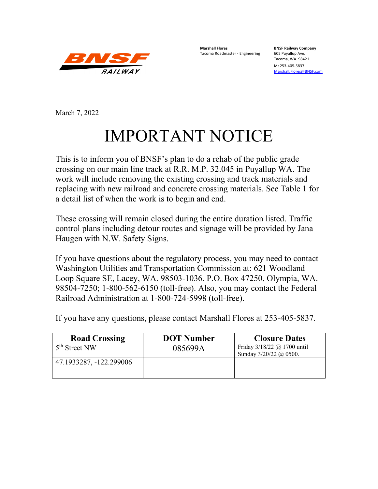

**Marshall Flores BNSF Railway Company** Tacoma Roadmaster - Engineering

Tacoma, WA. 98421

M: 253-405-5837 [Marshall.Flores@BNSF.com](mailto:Marshall.Flores@BNSF.com)

March 7, 2022

# IMPORTANT NOTICE

This is to inform you of BNSF's plan to do a rehab of the public grade crossing on our main line track at R.R. M.P. 32.045 in Puyallup WA. The work will include removing the existing crossing and track materials and replacing with new railroad and concrete crossing materials. See Table 1 for a detail list of when the work is to begin and end.

These crossing will remain closed during the entire duration listed. Traffic control plans including detour routes and signage will be provided by Jana Haugen with N.W. Safety Signs.

If you have questions about the regulatory process, you may need to contact Washington Utilities and Transportation Commission at: 621 Woodland Loop Square SE, Lacey, WA. 98503-1036, P.O. Box 47250, Olympia, WA. 98504-7250; 1-800-562-6150 (toll-free). Also, you may contact the Federal Railroad Administration at 1-800-724-5998 (toll-free).

| <b>Road Crossing</b>      | <b>DOT</b> Number | <b>Closure Dates</b>                                  |
|---------------------------|-------------------|-------------------------------------------------------|
| 5 <sup>th</sup> Street NW | 085699A           | Friday 3/18/22 @ 1700 until<br>Sunday 3/20/22 @ 0500. |
| 47.1933287, -122.299006   |                   |                                                       |
|                           |                   |                                                       |

If you have any questions, please contact Marshall Flores at 253-405-5837.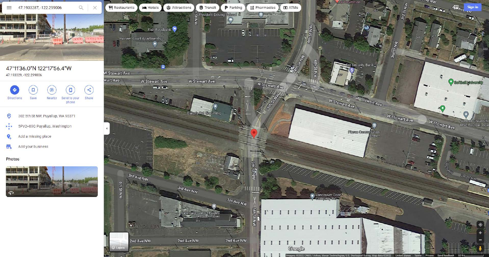





#### Photos



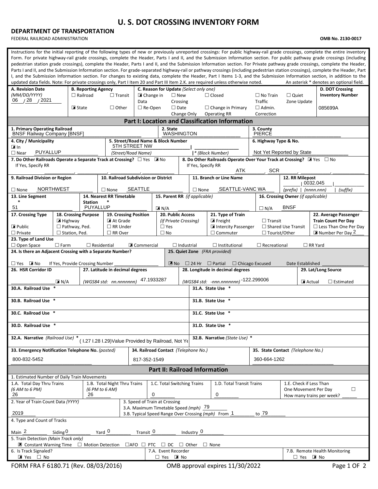### **U. S. DOT CROSSING INVENTORY FORM**

#### **DEPARTMENT OF TRANSPORTATION**

FEDERAL RAILROAD ADMINISTRATION **OMB No. 2130-0017**

| Instructions for the initial reporting of the following types of new or previously unreported crossings: For public highway-rail grade crossings, complete the entire inventory<br>Form. For private highway-rail grade crossings, complete the Header, Parts I and II, and the Submission Information section. For public pathway grade crossings (including<br>pedestrian station grade crossings), complete the Header, Parts I and II, and the Submission Information section. For Private pathway grade crossings, complete the Header,<br>Parts I and II, and the Submission Information section. For grade-separated highway-rail or pathway crossings (including pedestrian station crossings), complete the Header, Part<br>I, and the Submission Information section. For changes to existing data, complete the Header, Part I Items 1-3, and the Submission Information section, in addition to the<br>updated data fields. Note: For private crossings only, Part I Item 20 and Part III Item 2.K. are required unless otherwise noted.<br>An asterisk * denotes an optional field. |                                                |                                                     |                                                     |                                        |                                |                                                                                        |                                                                                        |                                                                                                           |                                   |                                            |  |  |  |
|--------------------------------------------------------------------------------------------------------------------------------------------------------------------------------------------------------------------------------------------------------------------------------------------------------------------------------------------------------------------------------------------------------------------------------------------------------------------------------------------------------------------------------------------------------------------------------------------------------------------------------------------------------------------------------------------------------------------------------------------------------------------------------------------------------------------------------------------------------------------------------------------------------------------------------------------------------------------------------------------------------------------------------------------------------------------------------------------------|------------------------------------------------|-----------------------------------------------------|-----------------------------------------------------|----------------------------------------|--------------------------------|----------------------------------------------------------------------------------------|----------------------------------------------------------------------------------------|-----------------------------------------------------------------------------------------------------------|-----------------------------------|--------------------------------------------|--|--|--|
| A. Revision Date<br>(MM/DD/YYYY)                                                                                                                                                                                                                                                                                                                                                                                                                                                                                                                                                                                                                                                                                                                                                                                                                                                                                                                                                                                                                                                                 | <b>B. Reporting Agency</b>                     |                                                     | ■ Change in                                         | C. Reason for Update (Select only one) | $\square$ New                  |                                                                                        | $\Box$ Closed                                                                          | $\Box$ No Train                                                                                           | $\Box$ Quiet                      | D. DOT Crossing<br><b>Inventory Number</b> |  |  |  |
| 06 / 28 / 2021                                                                                                                                                                                                                                                                                                                                                                                                                                                                                                                                                                                                                                                                                                                                                                                                                                                                                                                                                                                                                                                                                   |                                                | $\Box$ Railroad<br>$\Box$ Transit<br>Data           |                                                     |                                        | Crossing                       |                                                                                        |                                                                                        | <b>Traffic</b>                                                                                            | Zone Update                       |                                            |  |  |  |
|                                                                                                                                                                                                                                                                                                                                                                                                                                                                                                                                                                                                                                                                                                                                                                                                                                                                                                                                                                                                                                                                                                  | ■ State<br>$\Box$ Other<br>$\Box$ Re-Open      |                                                     |                                                     |                                        | $\Box$ Date                    |                                                                                        | $\Box$ Change in Primary                                                               | $\Box$ Admin.                                                                                             |                                   | 085699A                                    |  |  |  |
| <b>Operating RR</b><br>Change Only<br>Correction<br><b>Part I: Location and Classification Information</b>                                                                                                                                                                                                                                                                                                                                                                                                                                                                                                                                                                                                                                                                                                                                                                                                                                                                                                                                                                                       |                                                |                                                     |                                                     |                                        |                                |                                                                                        |                                                                                        |                                                                                                           |                                   |                                            |  |  |  |
| 1. Primary Operating Railroad<br>2. State<br>3. County                                                                                                                                                                                                                                                                                                                                                                                                                                                                                                                                                                                                                                                                                                                                                                                                                                                                                                                                                                                                                                           |                                                |                                                     |                                                     |                                        |                                |                                                                                        |                                                                                        |                                                                                                           |                                   |                                            |  |  |  |
| <b>BNSF Railway Company [BNSF]</b>                                                                                                                                                                                                                                                                                                                                                                                                                                                                                                                                                                                                                                                                                                                                                                                                                                                                                                                                                                                                                                                               |                                                |                                                     |                                                     |                                        | <b>WASHINGTON</b>              |                                                                                        |                                                                                        | <b>PIERCE</b>                                                                                             |                                   |                                            |  |  |  |
| 4. City / Municipality<br>l⊠In                                                                                                                                                                                                                                                                                                                                                                                                                                                                                                                                                                                                                                                                                                                                                                                                                                                                                                                                                                                                                                                                   |                                                |                                                     | 5. Street/Road Name & Block Number<br>5TH STREET NW |                                        |                                |                                                                                        |                                                                                        | 6. Highway Type & No.                                                                                     |                                   |                                            |  |  |  |
| <b>PUYALLUP</b><br>$\Box$ Near                                                                                                                                                                                                                                                                                                                                                                                                                                                                                                                                                                                                                                                                                                                                                                                                                                                                                                                                                                                                                                                                   |                                                |                                                     | (Street/Road Name)                                  |                                        |                                |                                                                                        | * (Block Number)                                                                       | Not Yet Reported by State                                                                                 |                                   |                                            |  |  |  |
| 7. Do Other Railroads Operate a Separate Track at Crossing? $\Box$ Yes MINO<br>8. Do Other Railroads Operate Over Your Track at Crossing? I Yes $\Box$ No<br>If Yes, Specify RR<br>If Yes, Specify RR<br>ATK<br><b>SCR</b>                                                                                                                                                                                                                                                                                                                                                                                                                                                                                                                                                                                                                                                                                                                                                                                                                                                                       |                                                |                                                     |                                                     |                                        |                                |                                                                                        |                                                                                        |                                                                                                           |                                   |                                            |  |  |  |
| 9. Railroad Division or Region                                                                                                                                                                                                                                                                                                                                                                                                                                                                                                                                                                                                                                                                                                                                                                                                                                                                                                                                                                                                                                                                   |                                                | 10. Railroad Subdivision or District                |                                                     |                                        |                                |                                                                                        | 11. Branch or Line Name                                                                |                                                                                                           | 12. RR Milepost<br>0032.045       |                                            |  |  |  |
| <b>NORTHWEST</b><br>$\Box$ None                                                                                                                                                                                                                                                                                                                                                                                                                                                                                                                                                                                                                                                                                                                                                                                                                                                                                                                                                                                                                                                                  |                                                | $\Box$ None                                         | <b>SEATTLE</b>                                      |                                        |                                | $\Box$ None                                                                            | SEATTLE-VANC WA                                                                        |                                                                                                           | (prefix)   (nnnnnnnn)<br>(suffix) |                                            |  |  |  |
| 13. Line Segment                                                                                                                                                                                                                                                                                                                                                                                                                                                                                                                                                                                                                                                                                                                                                                                                                                                                                                                                                                                                                                                                                 |                                                | 14. Nearest RR Timetable                            |                                                     | 15. Parent RR (if applicable)          |                                |                                                                                        |                                                                                        | 16. Crossing Owner (if applicable)                                                                        |                                   |                                            |  |  |  |
| $\ast$<br><b>Station</b><br>51<br><b>PUYALLUP</b><br><b>BNSF</b><br>$\blacksquare$ N/A<br>$\Box N/A$                                                                                                                                                                                                                                                                                                                                                                                                                                                                                                                                                                                                                                                                                                                                                                                                                                                                                                                                                                                             |                                                |                                                     |                                                     |                                        |                                |                                                                                        |                                                                                        |                                                                                                           |                                   |                                            |  |  |  |
| 17. Crossing Type                                                                                                                                                                                                                                                                                                                                                                                                                                                                                                                                                                                                                                                                                                                                                                                                                                                                                                                                                                                                                                                                                | 18. Crossing Purpose                           | 19. Crossing Position                               |                                                     |                                        | 20. Public Access              |                                                                                        | 21. Type of Train                                                                      |                                                                                                           |                                   | 22. Average Passenger                      |  |  |  |
| $\triangleright$ Public                                                                                                                                                                                                                                                                                                                                                                                                                                                                                                                                                                                                                                                                                                                                                                                                                                                                                                                                                                                                                                                                          | $\blacksquare$ Highway<br>$\Box$ Pathway, Ped. | $\Box$ RR Under                                     | At Grade<br>(if Private Crossing)<br>$\Box$ Yes     |                                        |                                |                                                                                        | $\blacksquare$ Freight<br>Intercity Passenger                                          | <b>Train Count Per Day</b><br>$\Box$ Transit<br>$\Box$ Shared Use Transit<br>$\Box$ Less Than One Per Day |                                   |                                            |  |  |  |
| $\Box$ Private                                                                                                                                                                                                                                                                                                                                                                                                                                                                                                                                                                                                                                                                                                                                                                                                                                                                                                                                                                                                                                                                                   | $\square$ Station, Ped.                        | $\Box$ RR Over                                      |                                                     | $\Box$ No                              |                                |                                                                                        | $\Box$ Commuter                                                                        | □ Tourist/Other                                                                                           | Number Per Day 2                  |                                            |  |  |  |
| 23. Type of Land Use                                                                                                                                                                                                                                                                                                                                                                                                                                                                                                                                                                                                                                                                                                                                                                                                                                                                                                                                                                                                                                                                             | $\Box$ Farm                                    | $\Box$ Residential                                  | <b>X</b> Commercial                                 |                                        | $\Box$ Industrial              |                                                                                        | $\Box$ Institutional                                                                   | $\Box$ Recreational                                                                                       |                                   | $\Box$ RR Yard                             |  |  |  |
| $\Box$ Open Space<br>24. Is there an Adjacent Crossing with a Separate Number?                                                                                                                                                                                                                                                                                                                                                                                                                                                                                                                                                                                                                                                                                                                                                                                                                                                                                                                                                                                                                   |                                                |                                                     |                                                     |                                        |                                |                                                                                        | 25. Quiet Zone (FRA provided)                                                          |                                                                                                           |                                   |                                            |  |  |  |
|                                                                                                                                                                                                                                                                                                                                                                                                                                                                                                                                                                                                                                                                                                                                                                                                                                                                                                                                                                                                                                                                                                  |                                                |                                                     |                                                     |                                        |                                |                                                                                        |                                                                                        |                                                                                                           |                                   |                                            |  |  |  |
| $\Box$ Yes $\Box$ No<br>26. HSR Corridor ID                                                                                                                                                                                                                                                                                                                                                                                                                                                                                                                                                                                                                                                                                                                                                                                                                                                                                                                                                                                                                                                      | If Yes, Provide Crossing Number                | 27. Latitude in decimal degrees                     |                                                     |                                        | $\mathbb{Z}$ No                |                                                                                        | $\Box$ 24 Hr $\Box$ Partial $\Box$ Chicago Excused<br>28. Longitude in decimal degrees |                                                                                                           | Date Established                  | 29. Lat/Long Source                        |  |  |  |
|                                                                                                                                                                                                                                                                                                                                                                                                                                                                                                                                                                                                                                                                                                                                                                                                                                                                                                                                                                                                                                                                                                  |                                                |                                                     |                                                     | 47.1933287                             |                                |                                                                                        |                                                                                        |                                                                                                           |                                   |                                            |  |  |  |
| 30.A. Railroad Use                                                                                                                                                                                                                                                                                                                                                                                                                                                                                                                                                                                                                                                                                                                                                                                                                                                                                                                                                                                                                                                                               | $\boxed{\mathbf{X}}$ N/A                       | (WGS84 std: nn.nnnnnnn)                             |                                                     |                                        |                                |                                                                                        | (WGS84 std: -nnn.nnnnnnn) -122.299006<br>31.A. State Use *                             |                                                                                                           | Actual                            | $\Box$ Estimated                           |  |  |  |
|                                                                                                                                                                                                                                                                                                                                                                                                                                                                                                                                                                                                                                                                                                                                                                                                                                                                                                                                                                                                                                                                                                  |                                                |                                                     |                                                     |                                        |                                |                                                                                        |                                                                                        |                                                                                                           |                                   |                                            |  |  |  |
| 30.B. Railroad Use *                                                                                                                                                                                                                                                                                                                                                                                                                                                                                                                                                                                                                                                                                                                                                                                                                                                                                                                                                                                                                                                                             |                                                |                                                     |                                                     |                                        |                                |                                                                                        | 31.B. State Use *                                                                      |                                                                                                           |                                   |                                            |  |  |  |
| 30.C. Railroad Use *                                                                                                                                                                                                                                                                                                                                                                                                                                                                                                                                                                                                                                                                                                                                                                                                                                                                                                                                                                                                                                                                             |                                                |                                                     |                                                     |                                        |                                |                                                                                        | 31.C. State Use *                                                                      |                                                                                                           |                                   |                                            |  |  |  |
| 30.D. Railroad Use                                                                                                                                                                                                                                                                                                                                                                                                                                                                                                                                                                                                                                                                                                                                                                                                                                                                                                                                                                                                                                                                               |                                                |                                                     |                                                     |                                        |                                | 31.D. State Use                                                                        |                                                                                        |                                                                                                           |                                   |                                            |  |  |  |
| 32.A. Narrative (Railroad Use) *                                                                                                                                                                                                                                                                                                                                                                                                                                                                                                                                                                                                                                                                                                                                                                                                                                                                                                                                                                                                                                                                 |                                                | (1.27 I.28 I.29) Value Provided by Railroad, Not Ye |                                                     |                                        |                                |                                                                                        | 32.B. Narrative (State Use) *                                                          |                                                                                                           |                                   |                                            |  |  |  |
| 33. Emergency Notification Telephone No. (posted)                                                                                                                                                                                                                                                                                                                                                                                                                                                                                                                                                                                                                                                                                                                                                                                                                                                                                                                                                                                                                                                |                                                |                                                     |                                                     | 34. Railroad Contact (Telephone No.)   |                                |                                                                                        |                                                                                        |                                                                                                           | 35. State Contact (Telephone No.) |                                            |  |  |  |
| 800-832-5452                                                                                                                                                                                                                                                                                                                                                                                                                                                                                                                                                                                                                                                                                                                                                                                                                                                                                                                                                                                                                                                                                     |                                                |                                                     | 817-352-1549                                        |                                        |                                | 360-664-1262                                                                           |                                                                                        |                                                                                                           |                                   |                                            |  |  |  |
| <b>Part II: Railroad Information</b>                                                                                                                                                                                                                                                                                                                                                                                                                                                                                                                                                                                                                                                                                                                                                                                                                                                                                                                                                                                                                                                             |                                                |                                                     |                                                     |                                        |                                |                                                                                        |                                                                                        |                                                                                                           |                                   |                                            |  |  |  |
| 1. Estimated Number of Daily Train Movements                                                                                                                                                                                                                                                                                                                                                                                                                                                                                                                                                                                                                                                                                                                                                                                                                                                                                                                                                                                                                                                     |                                                |                                                     |                                                     |                                        |                                |                                                                                        |                                                                                        |                                                                                                           |                                   |                                            |  |  |  |
| 1.A. Total Day Thru Trains<br>(6 AM to 6 PM)                                                                                                                                                                                                                                                                                                                                                                                                                                                                                                                                                                                                                                                                                                                                                                                                                                                                                                                                                                                                                                                     |                                                | 1.B. Total Night Thru Trains<br>(6 PM to 6 AM)      |                                                     | 1.C. Total Switching Trains            |                                | 1.D. Total Transit Trains<br>1.E. Check if Less Than<br>$\Box$<br>One Movement Per Day |                                                                                        |                                                                                                           |                                   |                                            |  |  |  |
| 26                                                                                                                                                                                                                                                                                                                                                                                                                                                                                                                                                                                                                                                                                                                                                                                                                                                                                                                                                                                                                                                                                               | 26                                             |                                                     |                                                     | 0                                      | 0<br>How many trains per week? |                                                                                        |                                                                                        |                                                                                                           |                                   |                                            |  |  |  |
| 2. Year of Train Count Data (YYYY)                                                                                                                                                                                                                                                                                                                                                                                                                                                                                                                                                                                                                                                                                                                                                                                                                                                                                                                                                                                                                                                               |                                                |                                                     | 3. Speed of Train at Crossing                       |                                        |                                |                                                                                        |                                                                                        |                                                                                                           |                                   |                                            |  |  |  |
| 3.A. Maximum Timetable Speed (mph) 79<br>2019<br>to 79<br>3.B. Typical Speed Range Over Crossing (mph) From 1                                                                                                                                                                                                                                                                                                                                                                                                                                                                                                                                                                                                                                                                                                                                                                                                                                                                                                                                                                                    |                                                |                                                     |                                                     |                                        |                                |                                                                                        |                                                                                        |                                                                                                           |                                   |                                            |  |  |  |
| 4. Type and Count of Tracks                                                                                                                                                                                                                                                                                                                                                                                                                                                                                                                                                                                                                                                                                                                                                                                                                                                                                                                                                                                                                                                                      |                                                |                                                     |                                                     |                                        |                                |                                                                                        |                                                                                        |                                                                                                           |                                   |                                            |  |  |  |
| Yard 0<br>Main <sub>2</sub><br>Transit 0<br>Industry $0$<br>Siding $0$                                                                                                                                                                                                                                                                                                                                                                                                                                                                                                                                                                                                                                                                                                                                                                                                                                                                                                                                                                                                                           |                                                |                                                     |                                                     |                                        |                                |                                                                                        |                                                                                        |                                                                                                           |                                   |                                            |  |  |  |
| 5. Train Detection (Main Track only)<br>$\blacksquare$ Constant Warning Time $\Box$ Motion Detection<br>$\Box$ AFO $\Box$ PTC<br>$\Box$ Other<br>$\Box$ None                                                                                                                                                                                                                                                                                                                                                                                                                                                                                                                                                                                                                                                                                                                                                                                                                                                                                                                                     |                                                |                                                     |                                                     |                                        |                                |                                                                                        |                                                                                        |                                                                                                           |                                   |                                            |  |  |  |
| 6. Is Track Signaled?                                                                                                                                                                                                                                                                                                                                                                                                                                                                                                                                                                                                                                                                                                                                                                                                                                                                                                                                                                                                                                                                            |                                                |                                                     |                                                     | $\sqcup$ DC<br>7.A. Event Recorder     |                                |                                                                                        |                                                                                        |                                                                                                           |                                   | 7.B. Remote Health Monitoring              |  |  |  |
| ■ Yes □ No                                                                                                                                                                                                                                                                                                                                                                                                                                                                                                                                                                                                                                                                                                                                                                                                                                                                                                                                                                                                                                                                                       |                                                |                                                     |                                                     | $\Box$ Yes $\Box$ No                   |                                |                                                                                        |                                                                                        |                                                                                                           | $\square$ Yes                     | $\boxed{\mathbf{x}}$ No                    |  |  |  |
| FORM FRA F 6180.71 (Rev. 08/03/2016)                                                                                                                                                                                                                                                                                                                                                                                                                                                                                                                                                                                                                                                                                                                                                                                                                                                                                                                                                                                                                                                             |                                                |                                                     |                                                     |                                        |                                |                                                                                        | OMB approval expires 11/30/2022                                                        |                                                                                                           |                                   | Page 1 OF 2                                |  |  |  |